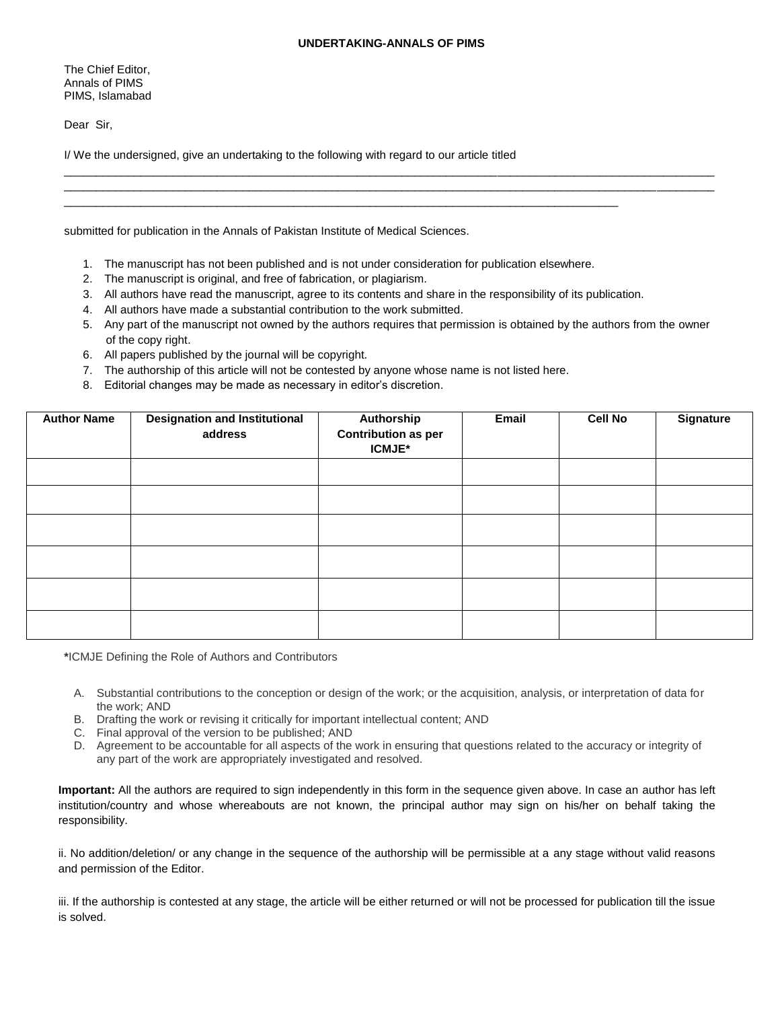\_\_\_\_\_\_\_\_\_\_\_\_\_\_\_\_\_\_\_\_\_\_\_\_\_\_\_\_\_\_\_\_\_\_\_\_\_\_\_\_\_\_\_\_\_\_\_\_\_\_\_\_\_\_\_\_\_\_\_\_\_\_\_\_\_\_\_\_\_\_\_\_\_\_\_\_\_\_\_\_\_\_\_\_\_\_\_\_\_\_\_\_\_\_\_\_\_\_\_\_\_\_ \_\_\_\_\_\_\_\_\_\_\_\_\_\_\_\_\_\_\_\_\_\_\_\_\_\_\_\_\_\_\_\_\_\_\_\_\_\_\_\_\_\_\_\_\_\_\_\_\_\_\_\_\_\_\_\_\_\_\_\_\_\_\_\_\_\_\_\_\_\_\_\_\_\_\_\_\_\_\_\_\_\_\_\_\_\_\_\_\_\_\_\_\_\_\_\_\_\_\_\_\_\_

The Chief Editor, Annals of PIMS PIMS, Islamabad

Dear Sir,

I/ We the undersigned, give an undertaking to the following with regard to our article titled

submitted for publication in the Annals of Pakistan Institute of Medical Sciences.

1. The manuscript has not been published and is not under consideration for publication elsewhere.

\_\_\_\_\_\_\_\_\_\_\_\_\_\_\_\_\_\_\_\_\_\_\_\_\_\_\_\_\_\_\_\_\_\_\_\_\_\_\_\_\_\_\_\_\_\_\_\_\_\_\_\_\_\_\_\_\_\_\_\_\_\_\_\_\_\_\_\_\_\_\_\_\_\_\_\_\_\_\_\_\_\_\_\_\_\_\_

- 2. The manuscript is original, and free of fabrication, or plagiarism.
- 3. All authors have read the manuscript, agree to its contents and share in the responsibility of its publication.
- 4. All authors have made a substantial contribution to the work submitted.
- 5. Any part of the manuscript not owned by the authors requires that permission is obtained by the authors from the owner of the copy right.
- 6. All papers published by the journal will be copyright.
- 7. The authorship of this article will not be contested by anyone whose name is not listed here.
- 8. Editorial changes may be made as necessary in editor's discretion.

| <b>Author Name</b> | <b>Designation and Institutional</b><br>address | Authorship<br><b>Contribution as per</b><br><b>ICMJE*</b> | Email | <b>Cell No</b> | <b>Signature</b> |
|--------------------|-------------------------------------------------|-----------------------------------------------------------|-------|----------------|------------------|
|                    |                                                 |                                                           |       |                |                  |
|                    |                                                 |                                                           |       |                |                  |
|                    |                                                 |                                                           |       |                |                  |
|                    |                                                 |                                                           |       |                |                  |
|                    |                                                 |                                                           |       |                |                  |
|                    |                                                 |                                                           |       |                |                  |

**\***ICMJE Defining the Role of Authors and Contributors

- A. Substantial contributions to the conception or design of the work; or the acquisition, analysis, or interpretation of data for the work; AND
- B. Drafting the work or revising it critically for important intellectual content; AND
- C. Final approval of the version to be published; AND
- D. Agreement to be accountable for all aspects of the work in ensuring that questions related to the accuracy or integrity of any part of the work are appropriately investigated and resolved.

**Important:** All the authors are required to sign independently in this form in the sequence given above. In case an author has left institution/country and whose whereabouts are not known, the principal author may sign on his/her on behalf taking the responsibility.

ii. No addition/deletion/ or any change in the sequence of the authorship will be permissible at a any stage without valid reasons and permission of the Editor.

iii. If the authorship is contested at any stage, the article will be either returned or will not be processed for publication till the issue is solved.